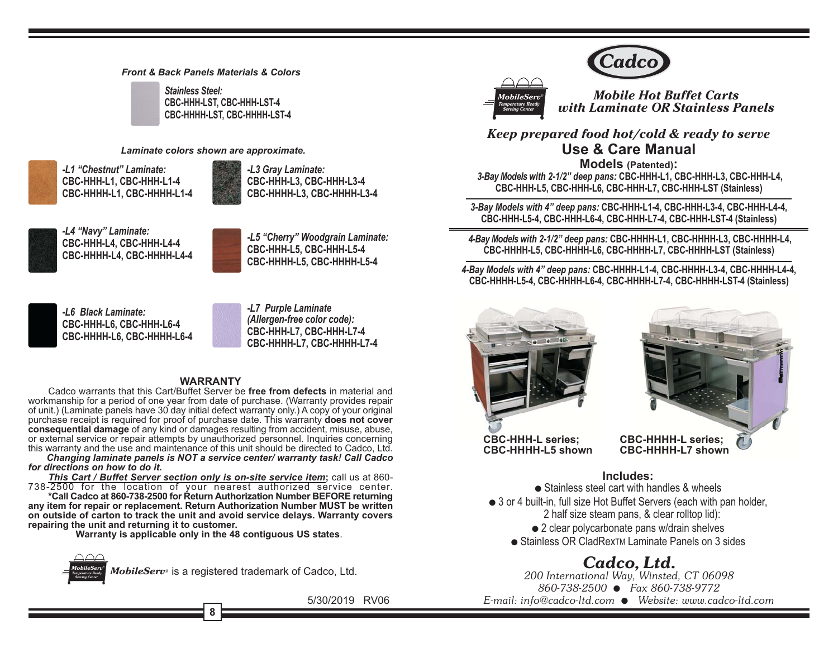#### **Front & Back Panels Materials & Colors**

**Stainless Steel:** CBC-HHH-LST. CBC-HHH-LST-4 CBC-HHHH-LST, CBC-HHHH-LST-4

#### Laminate colors shown are approximate.

-L1 "Chestnut" Laminate: CBC-HHH-L1. CBC-HHH-L1-4 CBC-HHHH-L1, CBC-HHHH-L1-4



-L3 Grav Laminate: CBC-HHH-L3, CBC-HHH-L3-4 CBC-HHHH-L3, CBC-HHHH-L3-4



-L4 "Navy" Laminate: CBC-HHH-L4, CBC-HHH-L4-4 CBC-HHHH-L4. CBC-HHHH-L4-4



-L5 "Cherry" Woodgrain Laminate: CBC-HHH-L5. CBC-HHH-L5-4 CBC-HHHH-L5. CBC-HHHH-L5-4



-L6 Black Laminate: CBC-HHH-L6, CBC-HHH-L6-4 CBC-HHHH-L6, CBC-HHHH-L6-4



#### **WARRANTY**

Cadco warrants that this Cart/Buffet Server be free from defects in material and workmanship for a period of one year from date of purchase. (Warranty provides repair of unit.) (Laminate panels have 30 day initial defect warranty only.) A copy of your original purchase receipt is required for proof of purchase date. This warranty does not cover consequential damage of any kind or damages resulting from accident, misuse, abuse, or external service or repair attempts by unauthorized personnel. Inquiries concerning this warranty and the use and maintenance of this unit should be directed to Cadco. Ltd.

Changing laminate panels is NOT a service center/ warranty task! Call Cadco for directions on how to do it.

This Cart / Buffet Server section only is on-site service item; call us at 860-738-2500 for the location of your nearest authorized service center.

\*Call Cadco at 860-738-2500 for Return Authorization Number BEFORE returning any item for repair or replacement. Return Authorization Number MUST be written on outside of carton to track the unit and avoid service delays. Warranty covers repairing the unit and returning it to customer.

Warranty is applicable only in the 48 contiguous US states.



5/30/2019 RV06



1ahileSe

**Mobile Hot Buffet Carts** with Laminate OR Stainless Panels

Keep prepared food hot/cold & ready to serve **Use & Care Manual** 

**Models (Patented):** 3-Bay Models with 2-1/2" deep pans: CBC-HHH-L1, CBC-HHH-L3, CBC-HHH-L4, CBC-HHH-L5, CBC-HHH-L6, CBC-HHH-L7, CBC-HHH-LST (Stainless)

3-Bay Models with 4" deep pans: CBC-HHH-L1-4, CBC-HHH-L3-4, CBC-HHH-L4-4, CBC-HHH-L5-4, CBC-HHH-L6-4, CBC-HHH-L7-4, CBC-HHH-LST-4 (Stainless)

4-Bay Models with 2-1/2" deep pans: CBC-HHHH-L1, CBC-HHHH-L3, CBC-HHHH-L4, CBC-HHHH-L5, CBC-HHHH-L6, CBC-HHHH-L7, CBC-HHHH-LST (Stainless)

4-Bay Models with 4" deep pans: CBC-HHHH-L1-4, CBC-HHHH-L3-4, CBC-HHHH-L4-4, CBC-HHHH-L5-4, CBC-HHHH-L6-4, CBC-HHHH-L7-4, CBC-HHHH-LST-4 (Stainless)



**CBC-HHH-L series: CBC-HHHH-L5 shown** 



## Includes:

• Stainless steel cart with handles & wheels • 3 or 4 built-in, full size Hot Buffet Servers (each with pan holder, 2 half size steam pans, & clear rolltop lid): • 2 clear polycarbonate pans w/drain shelves • Stainless OR CladRex™ Laminate Panels on 3 sides

# Cadco, Ltd.

200 International Way, Winsted, CT 06098 860-738-2500 ● Fax 860-738-9772 E-mail: info@cadco-ltd.com · Website: www.cadco-ltd.com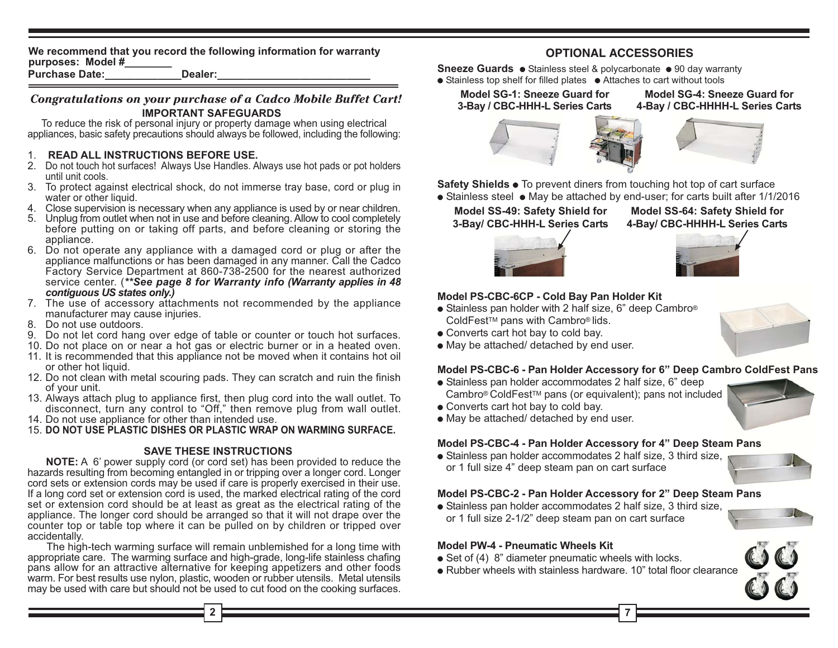We recommend that you record the following information for warranty purposes: Model #

**Purchase Date:** Dealer:

## Congratulations on your purchase of a Cadco Mobile Buffet Cart! **IMPORTANT SAFEGUARDS**

To reduce the risk of personal injury or property damage when using electrical appliances, basic safety precautions should always be followed, including the following:

## 1. READ ALL INSTRUCTIONS BEFORE USE.

- 2. Do not touch hot surfaces! Always Use Handles. Always use hot pads or pot holders until unit cools.
- 3. To protect against electrical shock, do not immerse tray base, cord or plug in water or other liquid.
- 4. Close supervision is necessary when any appliance is used by or near children.
- 5. Unplug from outlet when not in use and before cleaning. Allow to cool completely before putting on or taking off parts, and before cleaning or storing the appliance.
- 6. Do not operate any appliance with a damaged cord or plug or after the appliance malfunctions or has been damaged in any manner. Call the Cadco Factory Service Department at 860-738-2500 for the nearest authorized service center. (\*\*See page 8 for Warranty info (Warranty applies in 48 contiquous US states only.)
- 7. The use of accessory attachments not recommended by the appliance manufacturer may cause injuries.
- 8. Do not use outdoors.
- 9. Do not let cord hang over edge of table or counter or touch hot surfaces.
- 10. Do not place on or near a hot gas or electric burner or in a heated oven.
- 11. It is recommended that this appliance not be moved when it contains hot oil or other hot liquid.
- 12. Do not clean with metal scouring pads. They can scratch and ruin the finish of your unit.
- 13. Always attach plug to appliance first, then plug cord into the wall outlet. To disconnect, turn any control to "Off," then remove plug from wall outlet.
- 14. Do not use appliance for other than intended use.
- 15. DO NOT USE PLASTIC DISHES OR PLASTIC WRAP ON WARMING SURFACE.

## **SAVE THESE INSTRUCTIONS**

**NOTE:** A 6' power supply cord (or cord set) has been provided to reduce the hazards resulting from becoming entangled in or tripping over a longer cord. Longer cord sets or extension cords may be used if care is properly exercised in their use. If a long cord set or extension cord is used, the marked electrical rating of the cord set or extension cord should be at least as great as the electrical rating of the appliance. The longer cord should be arranged so that it will not drape over the counter top or table top where it can be pulled on by children or tripped over accidentally.

The high-tech warming surface will remain unblemished for a long time with appropriate care. The warming surface and high-grade, long-life stainless chafing pans allow for an attractive alternative for keeping appetizers and other foods warm. For best results use nylon, plastic, wooden or rubber utensils. Metal utensils may be used with care but should not be used to cut food on the cooking surfaces.

## **OPTIONAL ACCESSORIES**

Sneeze Guards · Stainless steel & polycarbonate · 90 day warranty • Stainless top shelf for filled plates • Attaches to cart without tools

Model SG-1: Sneeze Guard for 3-Bay / CBC-HHH-L Series Carts

Model SG-4: Sneeze Guard for 4-Bay / CBC-HHHH-L Series Carts





Safety Shields . To prevent diners from touching hot top of cart surface • Stainless steel • May be attached by end-user: for carts built after 1/1/2016

#### Model SS-49: Safety Shield for 3-Bay/ CBC-HHH-L Series Carts

Model SS-64: Safety Shield for 4-Bay/ CBC-HHHH-L Series Carts





## Model PS-CBC-6CP - Cold Bay Pan Holder Kit

- Stainless pan holder with 2 half size, 6" deep Cambro<sup>®</sup> ColdFest™ pans with Cambro® lids.
- Converts cart hot bay to cold bay.
- May be attached/ detached by end user.

## Model PS-CBC-6 - Pan Holder Accessory for 6" Deep Cambro ColdFest Pans

- Stainless pan holder accommodates 2 half size, 6" deep Cambro® ColdFest™ pans (or equivalent); pans not included
- Converts cart hot bay to cold bay.
- May be attached/ detached by end user.

#### Model PS-CBC-4 - Pan Holder Accessory for 4" Deep Steam Pans

• Stainless pan holder accommodates 2 half size, 3 third size, or 1 full size 4" deep steam pan on cart surface

## Model PS-CBC-2 - Pan Holder Accessory for 2" Deep Steam Pans

• Stainless pan holder accommodates 2 half size, 3 third size, or 1 full size 2-1/2" deep steam pan on cart surface



#### **Model PW-4 - Pneumatic Wheels Kit**

- Set of (4) 8" diameter pneumatic wheels with locks.
- Rubber wheels with stainless hardware, 10" total floor clearance









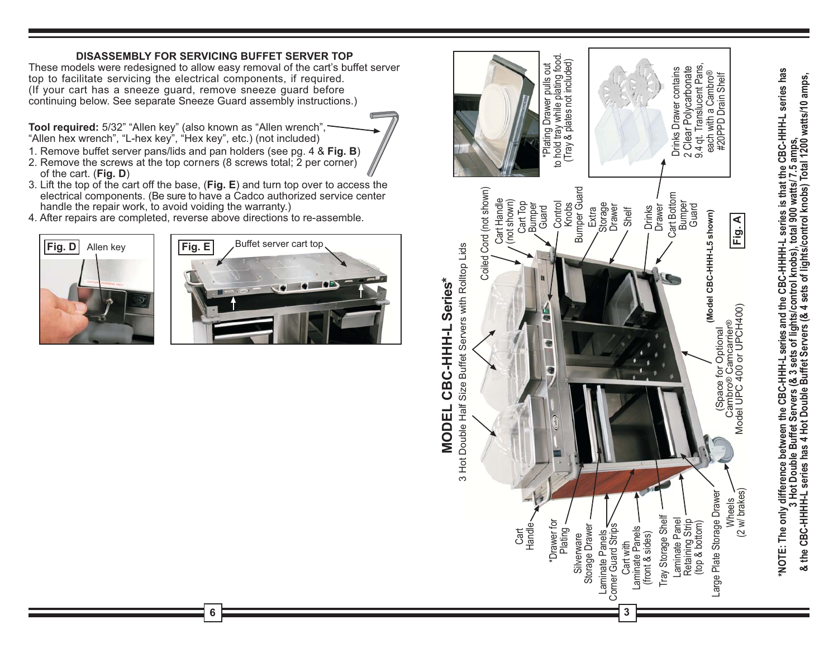## **DISASSEMBLY FOR SERVICING BUFFET SERVER TOP**

These models were redesigned to allow easy removal of the cart's buffet server top to facilitate servicing the electrical components, if required. (If your cart has a sneeze guard, remove sneeze guard before continuing below. See separate Sneeze Guard assembly instructions.)

Tool required: 5/32" "Allen key" (also known as "Allen wrench", "Allen hex wrench", "L-hex key", "Hex key", etc.) (not included)

- 1. Remove buffet server pans/lids and pan holders (see pg. 4 & Fig. B)
- 2. Remove the screws at the top corners (8 screws total; 2 per corner) of the cart.  $(Fig. D)$
- 3. Lift the top of the cart off the base, (Fig. E) and turn top over to access the electrical components. (Be sure to have a Cadco authorized service center handle the repair work, to avoid voiding the warranty.)

6

4. After repairs are completed, reverse above directions to re-assemble.